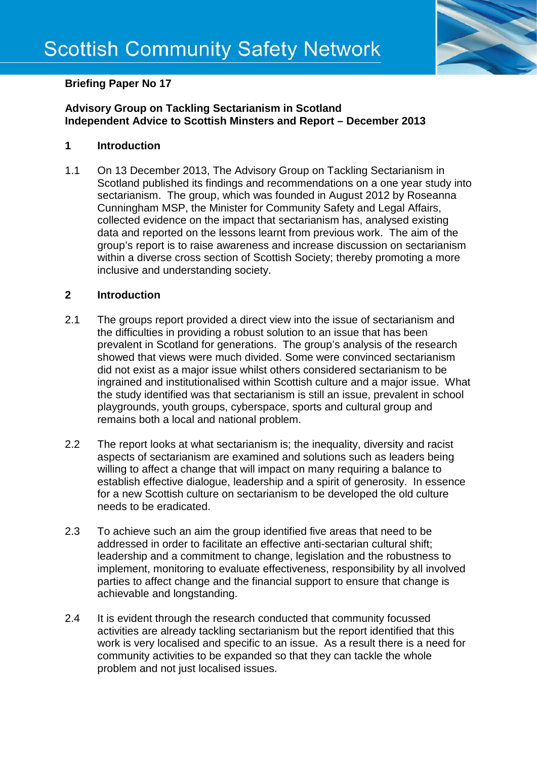

# **Briefing Paper No 17**

## **Advisory Group on Tackling Sectarianism in Scotland Independent Advice to Scottish Minsters and Report – December 2013**

## **1 Introduction**

1.1 On 13 December 2013, The Advisory Group on Tackling Sectarianism in Scotland published its findings and recommendations on a one year study into sectarianism. The group, which was founded in August 2012 by Roseanna Cunningham MSP, the Minister for Community Safety and Legal Affairs, collected evidence on the impact that sectarianism has, analysed existing data and reported on the lessons learnt from previous work. The aim of the group's report is to raise awareness and increase discussion on sectarianism within a diverse cross section of Scottish Society; thereby promoting a more inclusive and understanding society.

#### **2 Introduction**

- 2.1 The groups report provided a direct view into the issue of sectarianism and the difficulties in providing a robust solution to an issue that has been prevalent in Scotland for generations. The group's analysis of the research showed that views were much divided. Some were convinced sectarianism did not exist as a major issue whilst others considered sectarianism to be ingrained and institutionalised within Scottish culture and a major issue. What the study identified was that sectarianism is still an issue, prevalent in school playgrounds, youth groups, cyberspace, sports and cultural group and remains both a local and national problem.
- 2.2 The report looks at what sectarianism is; the inequality, diversity and racist aspects of sectarianism are examined and solutions such as leaders being willing to affect a change that will impact on many requiring a balance to establish effective dialogue, leadership and a spirit of generosity. In essence for a new Scottish culture on sectarianism to be developed the old culture needs to be eradicated.
- 2.3 To achieve such an aim the group identified five areas that need to be addressed in order to facilitate an effective anti-sectarian cultural shift; leadership and a commitment to change, legislation and the robustness to implement, monitoring to evaluate effectiveness, responsibility by all involved parties to affect change and the financial support to ensure that change is achievable and longstanding.
- 2.4 It is evident through the research conducted that community focussed activities are already tackling sectarianism but the report identified that this work is very localised and specific to an issue. As a result there is a need for community activities to be expanded so that they can tackle the whole problem and not just localised issues.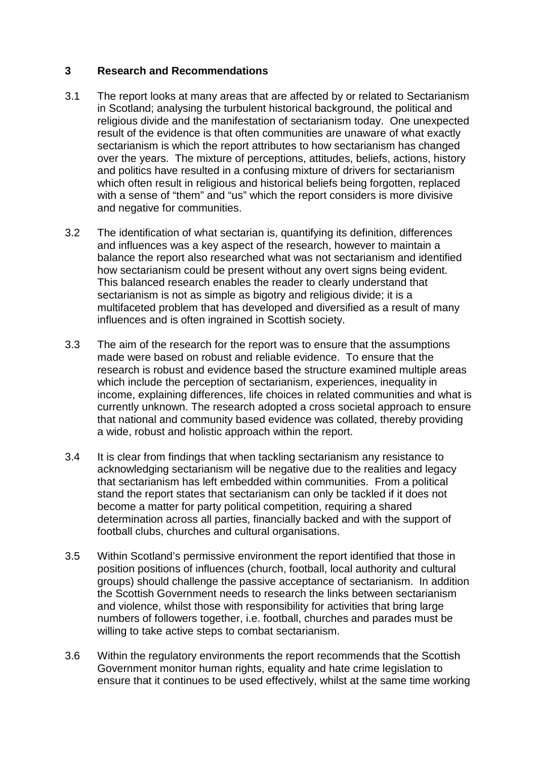## **3 Research and Recommendations**

- 3.1 The report looks at many areas that are affected by or related to Sectarianism in Scotland; analysing the turbulent historical background, the political and religious divide and the manifestation of sectarianism today. One unexpected result of the evidence is that often communities are unaware of what exactly sectarianism is which the report attributes to how sectarianism has changed over the years. The mixture of perceptions, attitudes, beliefs, actions, history and politics have resulted in a confusing mixture of drivers for sectarianism which often result in religious and historical beliefs being forgotten, replaced with a sense of "them" and "us" which the report considers is more divisive and negative for communities.
- 3.2 The identification of what sectarian is, quantifying its definition, differences and influences was a key aspect of the research, however to maintain a balance the report also researched what was not sectarianism and identified how sectarianism could be present without any overt signs being evident. This balanced research enables the reader to clearly understand that sectarianism is not as simple as bigotry and religious divide; it is a multifaceted problem that has developed and diversified as a result of many influences and is often ingrained in Scottish society.
- 3.3 The aim of the research for the report was to ensure that the assumptions made were based on robust and reliable evidence. To ensure that the research is robust and evidence based the structure examined multiple areas which include the perception of sectarianism, experiences, inequality in income, explaining differences, life choices in related communities and what is currently unknown. The research adopted a cross societal approach to ensure that national and community based evidence was collated, thereby providing a wide, robust and holistic approach within the report.
- 3.4 It is clear from findings that when tackling sectarianism any resistance to acknowledging sectarianism will be negative due to the realities and legacy that sectarianism has left embedded within communities. From a political stand the report states that sectarianism can only be tackled if it does not become a matter for party political competition, requiring a shared determination across all parties, financially backed and with the support of football clubs, churches and cultural organisations.
- 3.5 Within Scotland's permissive environment the report identified that those in position positions of influences (church, football, local authority and cultural groups) should challenge the passive acceptance of sectarianism. In addition the Scottish Government needs to research the links between sectarianism and violence, whilst those with responsibility for activities that bring large numbers of followers together, i.e. football, churches and parades must be willing to take active steps to combat sectarianism.
- 3.6 Within the regulatory environments the report recommends that the Scottish Government monitor human rights, equality and hate crime legislation to ensure that it continues to be used effectively, whilst at the same time working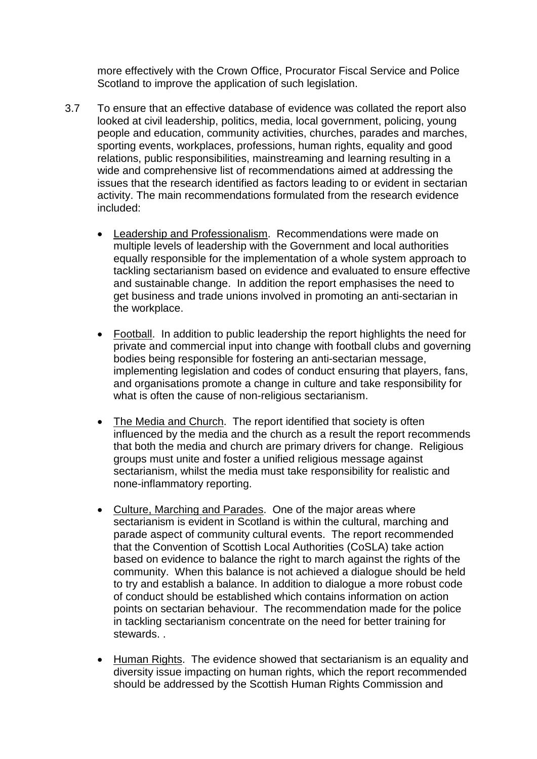more effectively with the Crown Office, Procurator Fiscal Service and Police Scotland to improve the application of such legislation.

- 3.7 To ensure that an effective database of evidence was collated the report also looked at civil leadership, politics, media, local government, policing, young people and education, community activities, churches, parades and marches, sporting events, workplaces, professions, human rights, equality and good relations, public responsibilities, mainstreaming and learning resulting in a wide and comprehensive list of recommendations aimed at addressing the issues that the research identified as factors leading to or evident in sectarian activity. The main recommendations formulated from the research evidence included:
	- Leadership and Professionalism. Recommendations were made on multiple levels of leadership with the Government and local authorities equally responsible for the implementation of a whole system approach to tackling sectarianism based on evidence and evaluated to ensure effective and sustainable change. In addition the report emphasises the need to get business and trade unions involved in promoting an anti-sectarian in the workplace.
	- Football. In addition to public leadership the report highlights the need for private and commercial input into change with football clubs and governing bodies being responsible for fostering an anti-sectarian message, implementing legislation and codes of conduct ensuring that players, fans, and organisations promote a change in culture and take responsibility for what is often the cause of non-religious sectarianism.
	- The Media and Church. The report identified that society is often influenced by the media and the church as a result the report recommends that both the media and church are primary drivers for change. Religious groups must unite and foster a unified religious message against sectarianism, whilst the media must take responsibility for realistic and none-inflammatory reporting.
	- Culture, Marching and Parades. One of the major areas where sectarianism is evident in Scotland is within the cultural, marching and parade aspect of community cultural events. The report recommended that the Convention of Scottish Local Authorities (CoSLA) take action based on evidence to balance the right to march against the rights of the community. When this balance is not achieved a dialogue should be held to try and establish a balance. In addition to dialogue a more robust code of conduct should be established which contains information on action points on sectarian behaviour. The recommendation made for the police in tackling sectarianism concentrate on the need for better training for stewards. .
	- Human Rights. The evidence showed that sectarianism is an equality and diversity issue impacting on human rights, which the report recommended should be addressed by the Scottish Human Rights Commission and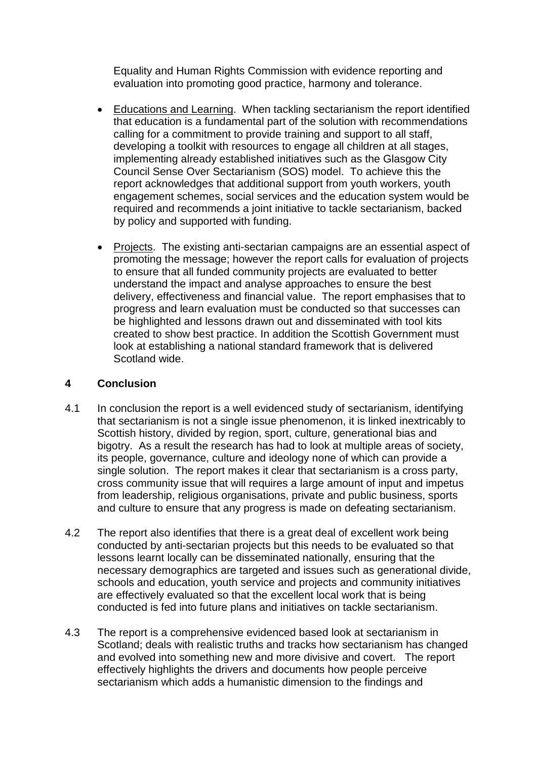Equality and Human Rights Commission with evidence reporting and evaluation into promoting good practice, harmony and tolerance.

- Educations and Learning. When tackling sectarianism the report identified that education is a fundamental part of the solution with recommendations calling for a commitment to provide training and support to all staff, developing a toolkit with resources to engage all children at all stages, implementing already established initiatives such as the Glasgow City Council Sense Over Sectarianism (SOS) model. To achieve this the report acknowledges that additional support from youth workers, youth engagement schemes, social services and the education system would be required and recommends a joint initiative to tackle sectarianism, backed by policy and supported with funding.
- Projects. The existing anti-sectarian campaigns are an essential aspect of promoting the message; however the report calls for evaluation of projects to ensure that all funded community projects are evaluated to better understand the impact and analyse approaches to ensure the best delivery, effectiveness and financial value. The report emphasises that to progress and learn evaluation must be conducted so that successes can be highlighted and lessons drawn out and disseminated with tool kits created to show best practice. In addition the Scottish Government must look at establishing a national standard framework that is delivered Scotland wide.

# **4 Conclusion**

- 4.1 In conclusion the report is a well evidenced study of sectarianism, identifying that sectarianism is not a single issue phenomenon, it is linked inextricably to Scottish history, divided by region, sport, culture, generational bias and bigotry. As a result the research has had to look at multiple areas of society, its people, governance, culture and ideology none of which can provide a single solution. The report makes it clear that sectarianism is a cross party, cross community issue that will requires a large amount of input and impetus from leadership, religious organisations, private and public business, sports and culture to ensure that any progress is made on defeating sectarianism.
- 4.2 The report also identifies that there is a great deal of excellent work being conducted by anti-sectarian projects but this needs to be evaluated so that lessons learnt locally can be disseminated nationally, ensuring that the necessary demographics are targeted and issues such as generational divide, schools and education, youth service and projects and community initiatives are effectively evaluated so that the excellent local work that is being conducted is fed into future plans and initiatives on tackle sectarianism.
- 4.3 The report is a comprehensive evidenced based look at sectarianism in Scotland; deals with realistic truths and tracks how sectarianism has changed and evolved into something new and more divisive and covert. The report effectively highlights the drivers and documents how people perceive sectarianism which adds a humanistic dimension to the findings and